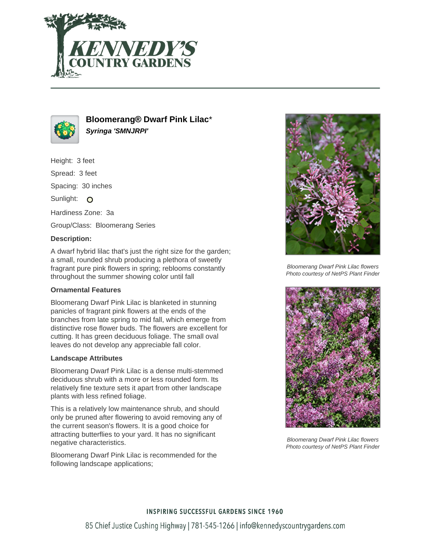



## **Bloomerang® Dwarf Pink Lilac**\* **Syringa 'SMNJRPI'**

Height: 3 feet Spread: 3 feet

Spacing: 30 inches

Sunlight: O

Hardiness Zone: 3a

Group/Class: Bloomerang Series

#### **Description:**

A dwarf hybrid lilac that's just the right size for the garden; a small, rounded shrub producing a plethora of sweetly fragrant pure pink flowers in spring; reblooms constantly throughout the summer showing color until fall

#### **Ornamental Features**

Bloomerang Dwarf Pink Lilac is blanketed in stunning panicles of fragrant pink flowers at the ends of the branches from late spring to mid fall, which emerge from distinctive rose flower buds. The flowers are excellent for cutting. It has green deciduous foliage. The small oval leaves do not develop any appreciable fall color.

#### **Landscape Attributes**

Bloomerang Dwarf Pink Lilac is a dense multi-stemmed deciduous shrub with a more or less rounded form. Its relatively fine texture sets it apart from other landscape plants with less refined foliage.

This is a relatively low maintenance shrub, and should only be pruned after flowering to avoid removing any of the current season's flowers. It is a good choice for attracting butterflies to your yard. It has no significant negative characteristics.

Bloomerang Dwarf Pink Lilac is recommended for the following landscape applications;



Bloomerang Dwarf Pink Lilac flowers Photo courtesy of NetPS Plant Finder



Bloomerang Dwarf Pink Lilac flowers Photo courtesy of NetPS Plant Finder

# **INSPIRING SUCCESSFUL GARDENS SINCE 1960** 85 Chief Justice Cushing Highway | 781-545-1266 | info@kennedyscountrygardens.com